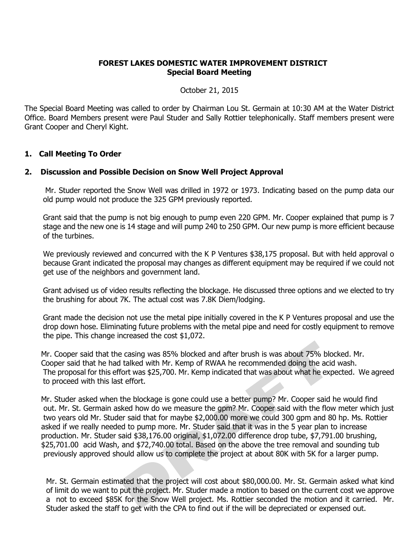## **FOREST LAKES DOMESTIC WATER IMPROVEMENT DISTRICT Special Board Meeting**

October 21, 2015

The Special Board Meeting was called to order by Chairman Lou St. Germain at 10:30 AM at the Water District Office. Board Members present were Paul Studer and Sally Rottier telephonically. Staff members present were Grant Cooper and Cheryl Kight.

## **1. Call Meeting To Order**

## **2. Discussion and Possible Decision on Snow Well Project Approval**

Mr. Studer reported the Snow Well was drilled in 1972 or 1973. Indicating based on the pump data our old pump would not produce the 325 GPM previously reported.

Grant said that the pump is not big enough to pump even 220 GPM. Mr. Cooper explained that pump is 7 stage and the new one is 14 stage and will pump 240 to 250 GPM. Our new pump is more efficient because of the turbines.

We previously reviewed and concurred with the K P Ventures \$38,175 proposal. But with held approval o because Grant indicated the proposal may changes as different equipment may be required if we could not get use of the neighbors and government land.

Grant advised us of video results reflecting the blockage. He discussed three options and we elected to try the brushing for about 7K. The actual cost was 7.8K Diem/lodging.

Grant made the decision not use the metal pipe initially covered in the K P Ventures proposal and use the drop down hose. Eliminating future problems with the metal pipe and need for costly equipment to remove the pipe. This change increased the cost \$1,072.

 Mr. Cooper said that the casing was 85% blocked and after brush is was about 75% blocked. Mr. Cooper said that he had talked with Mr. Kemp of RWAA he recommended doing the acid wash. The proposal for this effort was \$25,700. Mr. Kemp indicated that was about what he expected. We agreed to proceed with this last effort.

 Mr. Studer asked when the blockage is gone could use a better pump? Mr. Cooper said he would find out. Mr. St. Germain asked how do we measure the gpm? Mr. Cooper said with the flow meter which just two years old Mr. Studer said that for maybe \$2,000.00 more we could 300 gpm and 80 hp. Ms. Rottier asked if we really needed to pump more. Mr. Studer said that it was in the 5 year plan to increase production. Mr. Studer said \$38,176.00 original, \$1,072.00 difference drop tube, \$7,791.00 brushing, \$25,701.00 acid Wash, and \$72,740.00 total. Based on the above the tree removal and sounding tub previously approved should allow us to complete the project at about 80K with 5K for a larger pump.

Mr. St. Germain estimated that the project will cost about \$80,000.00. Mr. St. Germain asked what kind of limit do we want to put the project. Mr. Studer made a motion to based on the current cost we approve a not to exceed \$85K for the Snow Well project. Ms. Rottier seconded the motion and it carried. Mr. Studer asked the staff to get with the CPA to find out if the will be depreciated or expensed out.